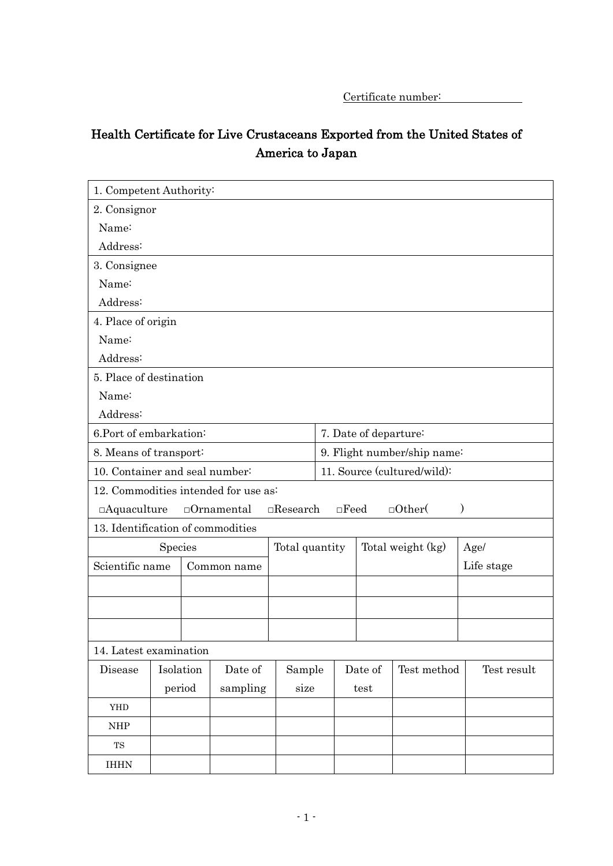Certificate number:

# Health Certificate for Live Crustaceans Exported from the United States of America to Japan

| 1. Competent Authority:            |                                                                                                                |             |                                      |        |                             |                       |             |             |
|------------------------------------|----------------------------------------------------------------------------------------------------------------|-------------|--------------------------------------|--------|-----------------------------|-----------------------|-------------|-------------|
| 2. Consignor                       |                                                                                                                |             |                                      |        |                             |                       |             |             |
| Name:                              |                                                                                                                |             |                                      |        |                             |                       |             |             |
| Address:                           |                                                                                                                |             |                                      |        |                             |                       |             |             |
| 3. Consignee                       |                                                                                                                |             |                                      |        |                             |                       |             |             |
| Name:                              |                                                                                                                |             |                                      |        |                             |                       |             |             |
| Address:                           |                                                                                                                |             |                                      |        |                             |                       |             |             |
| 4. Place of origin                 |                                                                                                                |             |                                      |        |                             |                       |             |             |
| Name:                              |                                                                                                                |             |                                      |        |                             |                       |             |             |
| Address:                           |                                                                                                                |             |                                      |        |                             |                       |             |             |
| 5. Place of destination            |                                                                                                                |             |                                      |        |                             |                       |             |             |
| Name:                              |                                                                                                                |             |                                      |        |                             |                       |             |             |
| Address:                           |                                                                                                                |             |                                      |        |                             |                       |             |             |
| 6.Port of embarkation:             |                                                                                                                |             |                                      |        |                             | 7. Date of departure: |             |             |
| 8. Means of transport:             |                                                                                                                |             |                                      |        | 9. Flight number/ship name: |                       |             |             |
|                                    | 10. Container and seal number:                                                                                 |             |                                      |        | 11. Source (cultured/wild): |                       |             |             |
|                                    |                                                                                                                |             | 12. Commodities intended for use as: |        |                             |                       |             |             |
|                                    | $\Box$ Other(<br>$\Box$ Aquaculture<br>$\Box$ Ornamental<br>$\Box$ Research<br>$\square$ Feed<br>$\mathcal{E}$ |             |                                      |        |                             |                       |             |             |
| 13. Identification of commodities  |                                                                                                                |             |                                      |        |                             |                       |             |             |
| Species                            |                                                                                                                |             | Total quantity                       |        | Total weight (kg)           |                       | Age/        |             |
| Scientific name                    |                                                                                                                | Common name |                                      |        |                             |                       | Life stage  |             |
|                                    |                                                                                                                |             |                                      |        |                             |                       |             |             |
|                                    |                                                                                                                |             |                                      |        |                             |                       |             |             |
|                                    |                                                                                                                |             |                                      |        |                             |                       |             |             |
| 14. Latest examination             |                                                                                                                |             |                                      |        |                             |                       |             |             |
| Disease                            |                                                                                                                | Isolation   | Date of                              | Sample |                             | Date of               | Test method | Test result |
|                                    |                                                                                                                | period      | sampling                             | size   |                             | test                  |             |             |
| YHD                                |                                                                                                                |             |                                      |        |                             |                       |             |             |
| $\ensuremath{\mathsf{NHP}}\xspace$ |                                                                                                                |             |                                      |        |                             |                       |             |             |
| $_{\rm TS}$                        |                                                                                                                |             |                                      |        |                             |                       |             |             |
| <b>IHHN</b>                        |                                                                                                                |             |                                      |        |                             |                       |             |             |
|                                    |                                                                                                                |             |                                      |        |                             |                       |             |             |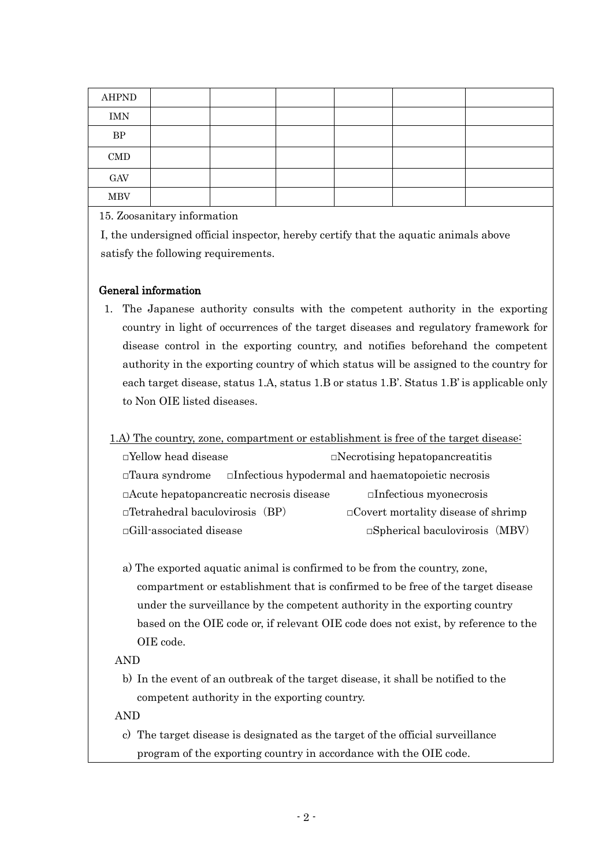| <b>AHPND</b> |  |  |  |
|--------------|--|--|--|
| <b>IMN</b>   |  |  |  |
| $\rm BP$     |  |  |  |
| $\rm CMD$    |  |  |  |
| GAV          |  |  |  |
| <b>MBV</b>   |  |  |  |

15. Zoosanitary information

I, the undersigned official inspector, hereby certify that the aquatic animals above satisfy the following requirements.

## General information

1. The Japanese authority consults with the competent authority in the exporting country in light of occurrences of the target diseases and regulatory framework for disease control in the exporting country, and notifies beforehand the competent authority in the exporting country of which status will be assigned to the country for each target disease, status 1.A, status 1.B or status 1.B'. Status 1.B' is applicable only to Non OIE listed diseases.

## 1.A) The country, zone, compartment or establishment is free of the target disease:

□Yellow head disease □Necrotising hepatopancreatitis □Taura syndrome □Infectious hypodermal and haematopoietic necrosis □Acute hepatopancreatic necrosis disease □Infectious myonecrosis  $\Box$ Tetrahedral baculovirosis (BP)  $\Box$ Covert mortality disease of shrimp □Gill-associated disease □Spherical baculovirosis(MBV)

a) The exported aquatic animal is confirmed to be from the country, zone, compartment or establishment that is confirmed to be free of the target disease under the surveillance by the competent authority in the exporting country based on the OIE code or, if relevant OIE code does not exist, by reference to the OIE code.

## AND

b) In the event of an outbreak of the target disease, it shall be notified to the competent authority in the exporting country.

AND

c) The target disease is designated as the target of the official surveillance program of the exporting country in accordance with the OIE code.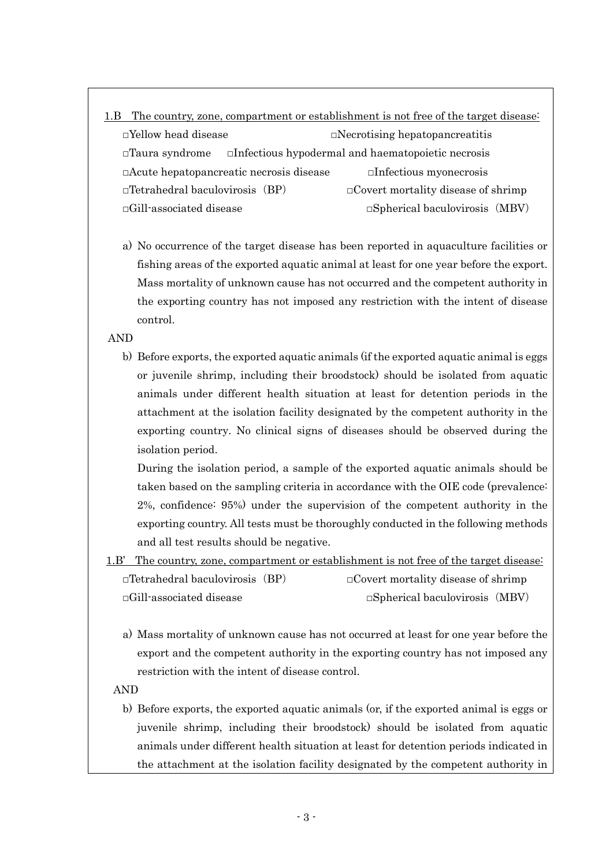- 1.B The country, zone, compartment or establishment is not free of the target disease: □Yellow head disease □Necrotising hepatopancreatitis □Taura syndrome □Infectious hypodermal and haematopoietic necrosis □Acute hepatopancreatic necrosis disease □Infectious myonecrosis  $\Box$ Tetrahedral baculovirosis (BP)  $\Box$  Covert mortality disease of shrimp □Gill-associated disease □Spherical baculovirosis(MBV)
	- a) No occurrence of the target disease has been reported in aquaculture facilities or fishing areas of the exported aquatic animal at least for one year before the export. Mass mortality of unknown cause has not occurred and the competent authority in the exporting country has not imposed any restriction with the intent of disease control.

AND

b) Before exports, the exported aquatic animals (if the exported aquatic animal is eggs or juvenile shrimp, including their broodstock) should be isolated from aquatic animals under different health situation at least for detention periods in the attachment at the isolation facility designated by the competent authority in the exporting country. No clinical signs of diseases should be observed during the isolation period.

During the isolation period, a sample of the exported aquatic animals should be taken based on the sampling criteria in accordance with the OIE code (prevalence: 2%, confidence: 95%) under the supervision of the competent authority in the exporting country. All tests must be thoroughly conducted in the following methods and all test results should be negative.

- 1.B' The country, zone, compartment or establishment is not free of the target disease:  $\Box$ Tetrahedral baculovirosis (BP)  $\Box$ Covert mortality disease of shrimp □Gill-associated disease □Spherical baculovirosis(MBV)
	- a) Mass mortality of unknown cause has not occurred at least for one year before the export and the competent authority in the exporting country has not imposed any restriction with the intent of disease control.

AND

b) Before exports, the exported aquatic animals (or, if the exported animal is eggs or juvenile shrimp, including their broodstock) should be isolated from aquatic animals under different health situation at least for detention periods indicated in the attachment at the isolation facility designated by the competent authority in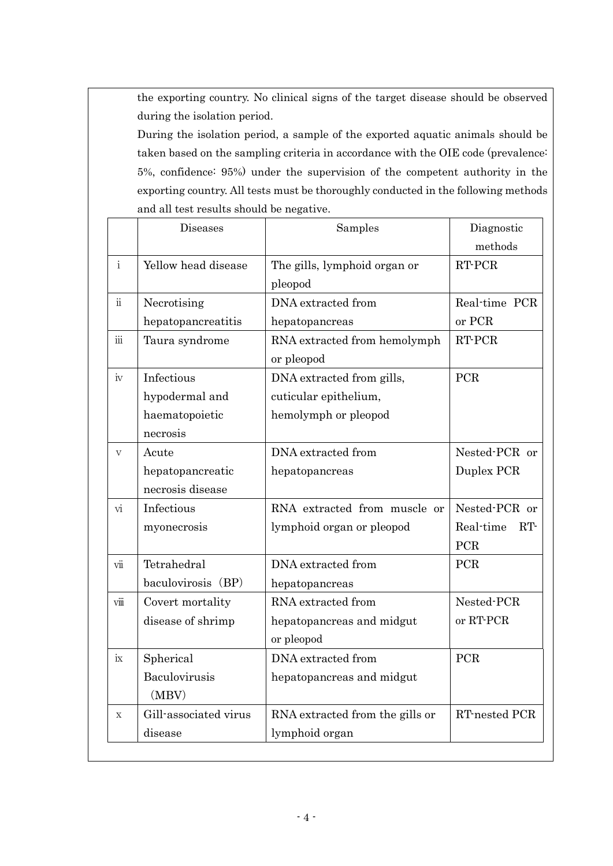the exporting country. No clinical signs of the target disease should be observed during the isolation period.

During the isolation period, a sample of the exported aquatic animals should be taken based on the sampling criteria in accordance with the OIE code (prevalence: 5%, confidence: 95%) under the supervision of the competent authority in the exporting country. All tests must be thoroughly conducted in the following methods and all test results should be negative.

|                            | Diseases              | Samples                         | Diagnostic      |
|----------------------------|-----------------------|---------------------------------|-----------------|
|                            |                       |                                 | methods         |
| $\mathbf{i}$               | Yellow head disease   | The gills, lymphoid organ or    | RT-PCR          |
|                            |                       | pleopod                         |                 |
| $\ddot{\rm n}$             | Necrotising           | DNA extracted from              | Real-time PCR   |
|                            | hepatopancreatitis    | hepatopancreas                  | or PCR          |
| iii                        | Taura syndrome        | RNA extracted from hemolymph    | RT-PCR          |
|                            |                       | or pleopod                      |                 |
| iv                         | Infectious            | DNA extracted from gills,       | <b>PCR</b>      |
|                            | hypodermal and        | cuticular epithelium,           |                 |
|                            | haematopoietic        | hemolymph or pleopod            |                 |
|                            | necrosis              |                                 |                 |
| $\overline{V}$             | Acute                 | DNA extracted from              | Nested-PCR or   |
|                            | hepatopancreatic      | hepatopancreas                  | Duplex PCR      |
|                            | necrosis disease      |                                 |                 |
| vi                         | Infectious            | RNA extracted from muscle or    | Nested-PCR or   |
|                            | myonecrosis           | lymphoid organ or pleopod       | Real-time<br>RT |
|                            |                       |                                 | PCR             |
| $\overline{\text{vii}}$    | Tetrahedral           | DNA extracted from              | PCR             |
|                            | baculovirosis (BP)    | hepatopancreas                  |                 |
| $\nu$ $\dddot{\mathbf{m}}$ | Covert mortality      | RNA extracted from              | Nested-PCR      |
|                            | disease of shrimp     | hepatopancreas and midgut       | or RT-PCR       |
|                            |                       | or pleopod                      |                 |
| ix                         | Spherical             | DNA extracted from              | PCR             |
|                            | Baculovirusis         | hepatopancreas and midgut       |                 |
|                            | (MBV)                 |                                 |                 |
| $\mathbf X$                | Gill-associated virus | RNA extracted from the gills or | RT-nested PCR   |
|                            | disease               | lymphoid organ                  |                 |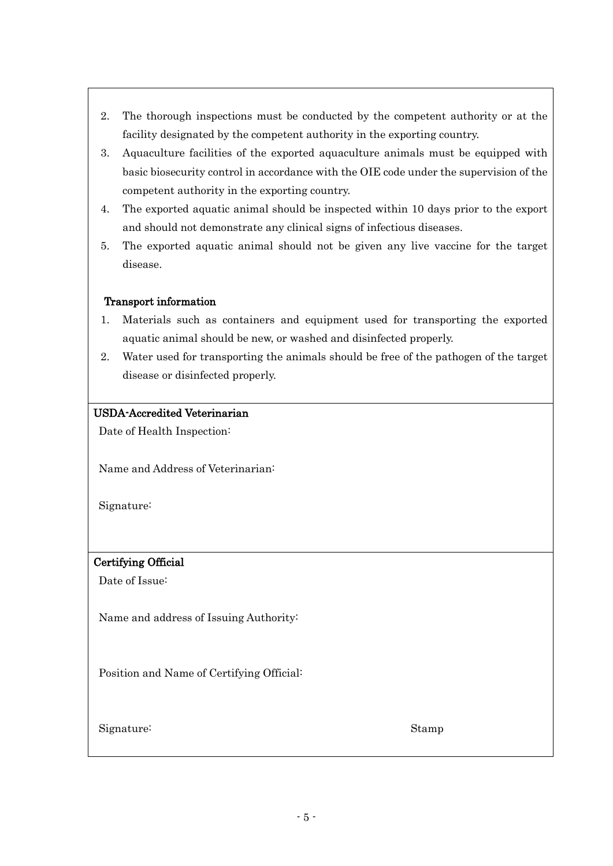- 2. The thorough inspections must be conducted by the competent authority or at the facility designated by the competent authority in the exporting country.
- 3. Aquaculture facilities of the exported aquaculture animals must be equipped with basic biosecurity control in accordance with the OIE code under the supervision of the competent authority in the exporting country.
- 4. The exported aquatic animal should be inspected within 10 days prior to the export and should not demonstrate any clinical signs of infectious diseases.
- 5. The exported aquatic animal should not be given any live vaccine for the target disease.

## Transport information

- 1. Materials such as containers and equipment used for transporting the exported aquatic animal should be new, or washed and disinfected properly.
- 2. Water used for transporting the animals should be free of the pathogen of the target disease or disinfected properly.

## USDA-Accredited Veterinarian

Date of Health Inspection:

Name and Address of Veterinarian:

Signature:

## Certifying Official

Date of Issue:

Name and address of Issuing Authority:

Position and Name of Certifying Official:

Signature: Stamp